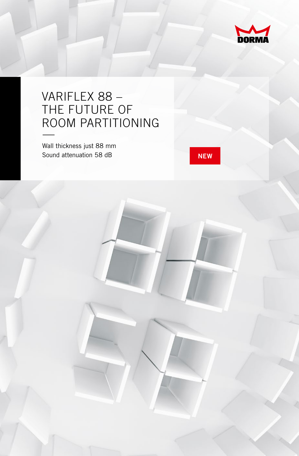

## VARIFLEX 88 – THE FUTURE OF ROOM PARTITIONING —

Wall thickness just 88 mm Sound attenuation 58 dB **NEW** 

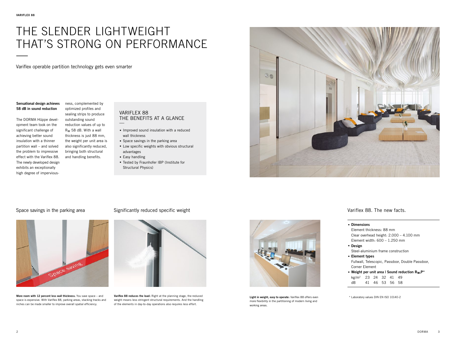# THE SLENDER LIGHTWEIGHT THAT'S STRONG ON PERFORMANCE —<br>—<br>—

Variflex operable partition technology gets even smarter

**Sensational design achieves 58 dB in sound reduction**

The DORMA Hüppe development team took on the significant challenge of achieving better sound insulation with a thinner partition wall – and solved the problem to impressive effect with the Variflex 88. The newly developed design exhibits an exceptionally high degree of imperviousness, complemented by optimized profiles and sealing strips to produce

outstanding sound reduction values of up to Rw 58 dB. With a wall thickness is just 88 mm, the weight per unit area is also significantly reduced, bringing both structural

and handling benefits.

#### VARIFLEX 88 THE BENEFITS AT A GLANCE —

- **.** Improved sound insulation with a reduced wall thickness
- **.** Space savings in the parking area
- **.** Low specific weights with obvious structural advantages
- **.** Easy handling
- **.** Tested by Fraunhofer IBP (Institute for Structural Physics)



### Space savings in the parking area Significantly reduced specific weight Variflex 88. The new facts.



**More room with 12 percent less wall thickness.** You save space – and space is expensive. With Variflex 88, parking areas, stacking tracks and niches can be made smaller to improve overall spatial efficiency.



**Variflex 88 reduces the load:** Right at the planning stage, the reduced weight means less stringent structural requirements. And the handling of the elements in day-to-day operations also requires less effort.



**Light in weight, easy to operate:** Variflex 88 offers even more flexibility in the partitioning of modern living and working areas.

- **. Dimensions** Element thickness: 88 mm Clear overhead height: 2.000 – 4.100 mm Element width: 600 – 1.250 mm
- **. Design** Steel-aluminium frame construction
- **. Element types** Fullwall, Telescopic, Passdoor, Double Passdoor, Corner Element
- **. Weight per unit area | Sound reduction Rw,P\*** kg/m2 23 24 32 41 49 dB 41 46 53 56 58

\* Laboratory values DIN EN ISO 10140-2